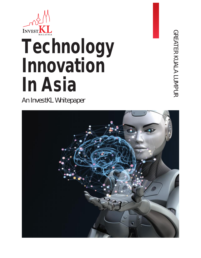

# **Technology Innovation In Asia**

An InvestKL Whitepaper

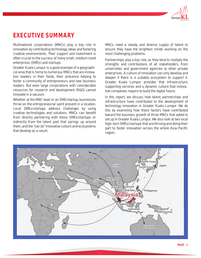

## **EXECUTIVE SUMMARY**

Multinational corporations (MNCs) play a key role in innovation by contributing technology, ideas and fostering creative environments. Their support and investment is often crucial to the success of many small, medium sized enterprises (SMEs) and startups.

Greater Kuala Lumpur is a good example of a geographical area that is home to numerous MNCs that are innovation leaders in their fields, their presence helping to foster a community of entrepreneurs and new business leaders. But even large corporations with considerable resources for research and development (R&D) cannot innovate in a vacuum.

Whether at the MNC level or an SME/startup, businesses thrive on the entrepreneurial spirit present in a location. Local SMEs/startups address challenges by using creative technologies and solutions. MNCs can benefit from directly partnering with these SMEs/startups or indirectly from the talent pool that springs up around them, and the "can do" innovative culture and ecosystems that develop as a result.

MNCs need a steady and diverse supply of talent to ensure they have the brightest minds working on the most challenging problems.

Partnerships play a key role, as they tend to multiply the strengths and contributions of all stakeholders, from universities and government agencies to other private enterprises. A culture of innovation can only develop and deepen if there is a suitable ecosystem to support it. Greater Kuala Lumpur provides that infrastructure, supporting services and a dynamic culture that innovative companies require to build the digital future.

In this report, we discuss how talent, partnerships and infrastructure have contributed to the development of technology innovation in Greater Kuala Lumpur. We do this by examining how these factors have contributed toward the business growth of three MNCs that opted to set up in Greater Kuala Lumpur. We also look at two local high-tech SMEs/startups that are thriving and doing their part to foster innovation across the whole Asia-Pacific region.

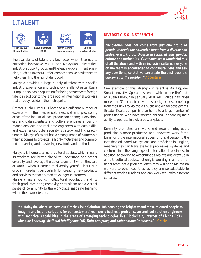## **1.TALENT**



The availability of talent is a key factor when it comes to attracting innovative MNCs, and Malaysia's universities, industry-support groups and the leading government agencies, such as InvestKL, offer comprehensive assistance to help them find the right talent pool.

Malaysia provides a large supply of talent with specific industry experience and technology skills. Greater Kuala Lumpur also has a reputation for being attractive to foreign talent, in addition to the large pool of international workers that already reside in the metropolis.

Greater Kuala Lumpur is home to a significant number of experts – in the mechanical, electrical and processing areas of the industrial-gas-production sector; IT developers and data scientists and software engineers; performance analysts and real-time engineers with data skills; and experienced cybersecurity, strategy and HR practitioners. Malaysia's talent has a strong sense of ownership when it comes to projects, is highly motivated and committed to learning and mastering new tools and methods.

Malaysia is home to a multi-cultural society, which means its workers are better placed to understand and accept diversity, and leverage the advantages of it when they are at work. When it comes to diversity youthful input is a crucial ingredient particularly for creating new products and services that are aimed at younger customers.

Malaysia has a young, multicultural population, and its fresh graduates bring creativity, enthusiasm and a vibrant sense of community to the workplace, inspiring learning within their work teams.

#### **DIVERSITY IS OUR STRENGTH**

*"Innovation does not come from just one group of people. It needs the collective input from a diverse and inclusive workforce. Diverse in terms of age, gender, culture and nationality. Our teams are a wonderful mix of all the above and with an inclusive culture, everyone on the team is encouraged to contribute ideas and ask any questions, so that we can create the best-possible outcome for the problem." Accenture*

One example of this strength in talent is Air Liquide's Smart Innovative Operations center, which opened in Greater Kuala Lumpur in January 2018. Air Liquide has hired more than 35 locals from various backgrounds, benefiting from their links to Malaysia's public and digital ecosystems. Greater Kuala Lumpur is also home to a large number of professionals who have worked abroad, enhancing their ability to operate in a diverse workplace.

Diversity promotes teamwork and ease of integration, producing a more productive and innovative work force. Enhancing the international appeal of this diversity is the fact that educated Malaysians are proficient in English, meaning they can translate local processes, systems and customs into the language of international business. In addition, according to Accenture as Malaysians grow up in a multi-cultural society, not only is working in a multi-national team not a problem, often they will send Malaysian workers to other countries as they are so adaptable to different work situations and can work well with different cultures.

*"In Malaysia, where we have our Oracle Cloud Solution Hub housing the brightest and most-talented people to imagine and inspire solutions for our customers' real-world business problems, we seek out solution engineers with technical capabilities in the areas of emerging technologies like Blockchain, Internet of Things (IoT), Machine Learning, Artificial Intelligence (AI), Data Analytics, and Autonomous Databases." - Oracle*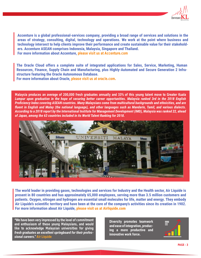

**Accenture is a global professional-services company, providing a broad range of services and solutions in the areas of strategy, consulting, digital, technology and operations. We work at the point where business and technology intersect to help clients improve their performance and create sustainable value for their stakeholders. Accenture ASEAN comprises Indonesia, Malaysia, Singapore and Thailand. For more information about Accenture, please visit us at Accenture.com**

**The Oracle Cloud offers a complete suite of integrated applications for Sales, Service, Marketing, Human Resources, Finance, Supply Chain and Manufacturing, plus Highly-Automated and Secure Generation 2 Infrastructure featuring the Oracle Autonomous Database.**

**For more information about Oracle, please visit us at oracle.com.**

*Malaysia produces an average of 200,000 fresh graduates annually and 33% of this young talent move to Greater Kuala Lumpur upon graduation in the hope of securing better career opportunities. Malaysia ranked 3rd in the 2018 English Proficiency Index covering ASEAN countries. Many Malaysians come from multicultural backgrounds and ethnicities, and are fluent in English and Malay (the national language), and other languages such as Mandarin, Tamil, and various dialects. According to a 2018 report by the International Institute for Management Development (IMD), Malaysia was ranked 22, ahead of Japan, among the 63 countries included in its World Talent Ranking for 2018.*



**The world leader in providing gases, technologies and services for Industry and the Health sector, Air Liquide is present in 80 countries and has approximately 65,000 employees, serving more than 3.5 million customers and patients. Oxygen, nitrogen and hydrogen are essential small molecules for life, matter and energy. They embody Air Liquide's scientific territory and have been at the core of the company's activities since its creation in 1902. For more information about Air Liquide, please visit us at Airliquide.com**

*"We have been very impressed by the level of commitment and enthusiasm of these young Malaysians, and would like to acknowledge Malaysian universities for giving fresh graduates an excellent springboard for their professional careers." Air Liquide*

**Diversity promotes teamwork and ease of integration, producing a more productive and innovative work force.**

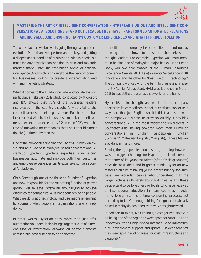

#### **MASTERING THE ART OF INTELLIGENT CONVERSATION – HYPERLAB'S UNIQUE AND INTELLIGENT CON-VERSATIONAL AI SOLUTIONS STAND OUT BECAUSE THEY HAVE TRANSFORMED AUTOMATED RELATIONS – ADDING VALUE AND ENSURING HAPPY CUSTOMER EXPERIENCES ARE WHAT IT PRIDES ITSELF ON**

The workplace as we know it is going through a significant evolution. More than ever, performance is key, and getting a deeper understanding of customer business needs is a must for any organization seeking to gain and maintain market share. Enter the fascinating arena of artificial intelligence (AI), which is proving to be the key component for businesses looking to create a differentiating and winning marketing strategy.

When it comes to the AI adoption rate, and for Malaysia in particular, a February 2019 study conducted by Microsoft and IDC shows that 70% of the business leaders interviewed in the country thought AI was vital to the competitiveness of their organizations. For those that had incorporated AI into their business model, competitiveness is expected to increase by 2.2 times in 2021, while the rate of innovation for companies that use it should almost double (1.8 times) by then too.

One of the companies shaping the use of AI in both Malaysia and Asia Pacific is Malaysia-based conversational AI start-up Hyperlab. Hyperlab's expertise is in helping businesses automate and improve both their customer and employee experiences via its extensive conversational AI platform.

Chris Greenough, one of the three co-founder of Hyperlab and now responsible for the marketing function of parent group, Everise, says: "We're all about trying to achieve efficiency for companies. AI is not about replacing people. What we do is add technology and use machine learning to augment what people in organizations are already doing."

In other words, Hyperlab does more than just offer automation solutions; it also brings together a lot of different silos of information, allowing all of the elements within a business function to be connected.

In addition, the company helps its clients stand out, by showing them how to position themselves as thought-leaders. For example, Hyperlab was instrumental in helping one of Malaysia's major banks, Hong Leong Bank, win two gold awards at the Human Resources Excellence Awards 2018 (Asia) – one for "excellence in HR innovation" and the other for "best use of HR technology". The company worked with the bank to create and implement HALI, its AI assistant. HALI was launched in March 2018 to assist the thousands that work for the bank.

Hyperlab's main strength, and what sets the company apart from its competitors, is that its chatbots converse in way more than just English. And it is this that has allowed the company's business to grow so quickly. It provides conversational AI in the most widely spoken dialects in Southeast Asia, having powered more than 10 million conversations in English, Singaporean English ("Singlish"), Malaysian English ("Manglish), Bahasa Malaysia, Mandarin and more.

Finding the right people to do this programming, however, was the biggest challenge for Hyperlab, until it discovered that some of its youngest talent (often fresh graduates) have the best ideas and brightest minds. Hyperlab now fosters a culture of having young, smart, hungry-for-success, well-rounded people who understand that the bigger picture is ultimately about adding value. And these people tend to be foreigners or locals who have received an international education. In many countries in Asia, hiring foreign staff is a time-consuming process, but according to Mr Greenough, hiring foreign talent already based in Malaysia has been relatively straightforward.

In addition to talent, Mr Greenough categorizes Malaysia as being one of the region's sweet spots for start-ups and innovation. "It has high-speed Internet. Good infrastructure, government support and grants … it definitely hits the sweet spot in a lot of areas for cost, infrastructure and capability."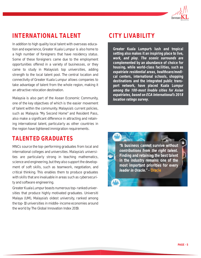

## **INTERNATIONAL TALENT CITY LIVABILITY**

In addition to high quality local talent with overseas education and experience, Greater Kuala Lumpur is also home to a high number of foreigners that have residency status. Some of these foreigners came due to the employment opportunities offered in a variety of businesses, or they came to study in Malaysia's top universities, adding strength to the local talent pool. The central location and connectivity of Greater Kuala Lumpur allows companies to take advantage of talent from the whole region, making it an attractive relocation destination.

Malaysia is also part of the Asean Economic Community, one of the key objectives of which is the easier movement of talent within the community. Malaysia's current policies, such as Malaysia "My Second Home" and Resident Pass, also make a significant difference in attracting and retaining international talent, particularly as other countries in the region have tightened immigration requirements.

## **TALENTED GRADUATES**

MNCs source the top-performing graduates from local and international colleges and universities. Malaysia's universities are particularly strong in teaching mathematics, science and engineering, but they also support the development of soft skills, such as teamwork, negotiation, and critical thinking. This enables them to produce graduates with skills that are invaluable in areas such as cybersecurity and software engineering.

Greater Kuala Lumpur boasts numerous top-ranked universities that produce highly motivated graduates. Universiti Malaya (UM), Malaysia's oldest university, ranked among the top-10 universities in middle-income economies around the world by The Global Innovation Index 2019.

*Greater Kuala Lumpur's lush and tropical setting also makes it an inspiring place to live, work, and play. The scenic surrounds are complemented by an abundance of choice for housing, while world-class facilities, such as expatriate residential areas, healthcare/medical centers, international schools, shopping destinations and the integrated public transport network, have placed Kuala Lumpur among the 100-most livable cities for Asian expatriates, based on ECA International's 2018 location ratings survey.*

*"A business cannot survive without contributions from the right talent. Finding and retaining the best talent in the industry remains one of the most important priorities for every leader in Oracle." - Oracle*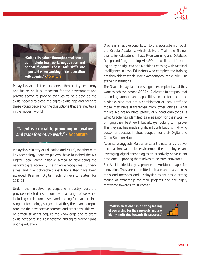

*"Soft skills gained through formal education include teamwork, negotiation and critical-thinking. These soft skills are important when working in collaboration with clients." -Accenture*

Malaysia's youth is the backbone of the country's economy and future, so it is important for the government and private sector to provide avenues to help develop the skills needed to close the digital-skills gap and prepare these young people for the disruptions that are inevitable in the modern world.

### *"Talent is crucial to providing innovative and transformative work." - Accenture*

Malaysia's Ministry of Education and MDEC, together with key technology industry players, have launched the MY Digital Tech Talent initiative aimed at developing the nation's digital economy. The initiative recognizes 11 universities and five polytechnic institutions that have been awarded Premier Digital Tech University status for 2019-21.

Under the initiative, participating industry partners provide selected institutions with a range of services, including curriculum assets and training for teachers in a range of technology subjects that they then can incorporate into their respective courses and programs. This will help their students acquire the knowledge and relevant skills needed to secure innovative and digitally driven jobs upon graduation.

Oracle is an active contributor to this ecosystem through the Oracle Academy, which delivers Train the Trainer events for educators in Java Programming and Database Design and Programming with SQL, as well as self-learning study on Big Data and Machine Learning with Artificial Intelligence in Java. Educators who complete the training are then able to teach Oracle Academy course curriculum at their institutions.

The Oracle Malaysia office is a good example of what they want to achieve across ASEAN. A diverse talent pool that is lending support and capabilities on the technical and business side that are a combination of local staff and those that have transferred from other offices. What makes Malaysian hires particularly good employees is what Oracle has identified as a passion for their work – bringing their best work but always looking to improve. This they say has made significant contributions in driving customer success in cloud adoption for their Digital and Cloud Solution Hub.

Accenture suggests Malaysian talent is naturally creative, and in an innovation-led environment their employees are leveraging digital technologies to creatively solve client problems – "proving themselves to be true innovators."

For Air Liquide, Malaysia provides a workforce eager for innovation. They are committed to learn and master new tools and methods and, "Malaysian talent has a strong feeling of ownership for their projects and are highly motivated towards it's success."

**"Malaysian talent has a strong feeling of ownership for their projects and are highly motivated towards its success."**

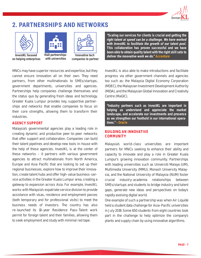

## **2. PARTNERSHIPS AND NETWORKS**



**InvestKL focused on helping enterprises**



**R&D partnerships with universities**

**Innovative tech** 

**companies to partner**

MNCs may have superior resources and expertise, but they cannot ensure innovation all on their own. They need partners, from other multinationals to SMEs/startups, government departments, universities and agencies. Partnerships help companies challenge themselves and the status quo by generating fresh ideas and technology. Greater Kuala Lumpur provides key, supportive partnerships and networks that enable companies to focus on their core strengths, allowing them to transform their industries.

#### **AGENCY SUPPORT**

Malaysia's governmental agencies play a leading role in creating dynamic and productive peer-to-peer networks that offer support and collaboration. Companies can build their talent pipelines and develop new tools in-house with the help of these agencies. InvestKL is at the center of these networks – it partners with various government agencies to attract multinationals from North America, Europe and Asia Pacific that are looking to set up their regional businesses, explore how to improve their innovation, create talent hubs and offer high-value business-service activities in the Greater Kuala Lumpur area, creating a gateway to expansion across Asia. For example, InvestKL works with Malaysia's expatriate service division to provide assistance with visas, residence and employment passes (both temporary and for professional visits) to meet the business needs of investors. The country has also re-launched its 10-year Residence Pass-Talent work permit for foreign talent and their families, allowing them to seek employment and study with minimal red tape.

*"Scaling our services for clients is crucial and getting the right talent at speed can be a challenge. We have worked with InvestKL to facilitate the growth of our talent pool. This collaboration has proven successful and we have been able to obtain quality talent with the right skill sets to deliver the innovative work we do." Accenture*

InvestKL is also able to make introductions and facilitate progress via other government channels and agencies too such as: the Malaysia Digital Economy Corporation (MDEC), the Malaysian Investment Development Authority (MIDA), and the Malaysian Global Innovation and Creativity Centre (MaGIC).

*"Industry partners such as InvestKL are important in helping us understand and appreciate the market landscape, and accelerate our investments and presence as we strengthen our foothold in our international operations." - Oracle*

#### **BUILDING AN INNOVATIVE COMMUNITY**

Malaysia's world-class universities are important partners for MNCs seeking to enhance their ability and capacity to innovate and play a role in Greater Kuala Lumpur's growing innovation community. Partnerships with leading universities such as Universiti Malaya (UM), Multimedia University (MMU), Monash University Malaysia, and the National University of Malaysia (NUM) foster crucial industry-academia relationships between SMEs/startups and students to bridge industry and talent gaps, generate new ideas and perspectives on today's rapidly evolving digital world.

One example of such a partnership was when Air Liquide held a student data challenge for Asia-Pacific universities in July 2019. Some 650 students from eight countries took part in the challenge to help optimize the company's plants and supply chain by using innovative algorithms.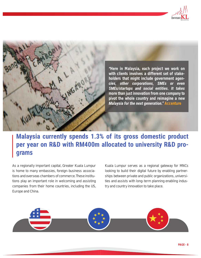



## **Malaysia currently spends 1.3% of its gross domestic product per year on R&D with RM400m allocated to university R&D programs**

As a regionally important capital, Greater Kuala Lumpur is home to many embassies, foreign-business associations and overseas chambers of commerce. These institutions play an important role in welcoming and assisting companies from their home countries, including the US, Europe and China.

Kuala Lumpur serves as a regional gateway for MNCs looking to build their digital future by enabling partnerships between private and public organizations, universities and assists with long-term planning enabling industry and country innovation to take place.

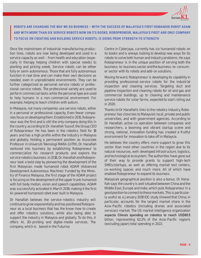

**ROBOTS ARE CHANGING THE WAY WE DO BUSINESS – WITH THE SUCCESS OF MALAYSIA'S FIRST HUMANOID ROBOT ADAM AND WITH MORE THAN SIX SERVICE ROBOTS NOW ON ITS BOOKS, ROBOPRENEUR, MALAYSIA'S FIRST AND ONLY COMPANY TO FOCUS ON CREATING AND BUILDING SERVICE ROBOTS, IS GOING FROM STRENGTH TO STRENGTH** 

Once the mainstream of industrial-manufacturing production lines, robots are now being developed and used in a service capacity as well – from health and education (especially in therapy helping children with special needs) to planting and picking seeds. Service robots can be either fully or semi-autonomous. Those that are fully autonomous function in real time and can make their own decisions as needed, even in unpredictable environments. They can be further categorized as personal-service robots or professional-service robots. The professional variety are used to perform commercial tasks while the personal type are used to help humans in a non-commercial environment. For example, helping to teach children with autism.

In Malaysia, not many companies use service robots, either in a personal or professional capacity. Even fewer companies focus on developing them. Established in 2015, Robopreneur was the first and is still the only company doing this in the country, according to Dr. Hanafiah Yussof, the Group CEO of Robopreneur. He has been in the robotics field for 18 years and has a high profile within the industry in Malaysia and globally. Holding a permanent position as Associate Professor in Universiti Teknologi MARA (UiTM), Dr. Hanafiah ventured into business by establishing Robopreneur to commercialize his research products and explore the service robotics business. In 2018, Dr. Hanafiah and Robopreneur took a bold step by pioneering the development of the first Malaysian made humanoid robot ADAM (Advanced Development Autonomous Machine). Funded by the Ministry of Finance Malaysia, the first stage of the ADAM project is focusing on the development of the upper trunk humanoid with full body motion, vision and speech capabilities. ADAM was successfully activated in March 2019, making it the first AI-powered humanoid robot ever built in Malaysia.

Dr Hanafiah believes the service-robotics industry will continue to grow exponentially and has positioned Robopreneur as a local business that has the know-how to create and offer robotics solutions, while also being able to support the industry in Malaysia and globally. To do this, it offers AI, 3D-printing and digital-media services. The company, which is based in the Futurise

Centre in Cyberjaya, currently has six humanoid robots on its books and is always looking to develop new ways for its robots to solve both human and industry problems. He says Robopreneur is in the unique position of serving both the business-to-business sector and the business-to-consumer sector with its robots and add-on solutions.

Moving forward, Robopreneur is developing its capability in providing professional-service robots for the industrial inspection and cleaning services. Targeting duct and pipeline inspection and cleaning robots for oil and gas and commercial buildings, up to cleaning and maintenance service robots for solar farms, expected to start rolling out in 2020.

Thanks to Dr Hanafiah's links to the robotics industry, Robopreneur has close ties to Malaysia's local, private and public universities, and with government agencies. According to Dr Hanafiah, active co-operation between companies and researchers, a booming and vibrant startup scene and strong, national, innovation funding has created a fruitful environment for innovation to take off in Malaysia.

He believes the country offers more support to grow this sector than most other countries in the region due to its natural resources, well-developed infrastructure, logistics, and technological ecosystem. The authorities have gone out of their way to provide grants to support high-tech SMEs/startups, as well as offering market test centers, co-working spaces and much more. All of which have enabled Robopreneur to expand its business.

Malaysia's geographical position is also a bonus. Dr Hanafiah says the country is well situated between China and the Middle East, Europe and India, which puts Robopreneur in a good position to connect to these markets. This is particularly useful as a January 2019 IDC study showed that China, in particular, accounts for the largest market share in the Asia-Pacific robotics (including drones and associated services) market. The US market intelligence organization expects China's spending on robotics to reach US\$80.5 billion, representing 62.2% of the Asia-Pacific region's (excluding japan) total spending in 2022.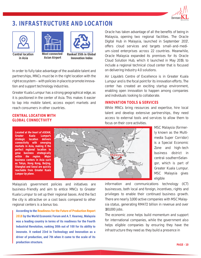

## **3. INFRASTRUCTURE AND LOCATION**





**Central location in Asia**

**Most connected Asian Airport**

**Ranked 35th in Global Innovation Index**

In order to fully take advantage of the available talent and partnerships, MNCs must be in the right location with the right ecosystem – with policies in place to promote innovation and support technology industries.

Greater Kuala Lumpur has a strong geographical edge, as it is positioned in the center of Asia. This makes it easier to tap into mobile talent, access export markets and reach consumers in other countries.

#### **CENTRAL LOCATION WITH GLOBAL CONNECTIVITY**

*Located at the heart of ASEAN, Greater Kuala Lumpur's strategic location delivers connectivity with emerging markets in Asia, making it the perfect regional location to grow business strategically within the region. Major business centers in Asia such as Tokyo, Hong Kong, Beijing, Shanghai and Seoul are quickly reachable from Greater Kuala Lumpur by plane.*



Malaysia's government policies and initiatives are business-friendly and aim to entice MNCs to Greater Kuala Lumpur to set up their regional bases. And the fact the city is attractive on a cost basis compared to other regional centers is a bonus too.

**According to the Readiness for the Future of Production Report 2018 by the World Economic Forum and A.T. Kearney, Malaysia was a leading country in terms of its readiness for the Fourth Industrial Revolution, ranking 30th out of 100 for its ability to innovate. It ranked 23rd in Technology and Innovation as a driver of production, and 7th when it came to the scale of its production structure.**

Oracle has taken advantage of all the benefits of being in Malaysia, opening two regional facilities. The Oracle Digital Hub in Malaysia, launched in September 2017, offers cloud services and targets small-and-medium-sized enterprises across 22 countries. Meanwhile, Oracle Malaysia expanded its premises for its Oracle Cloud Solution Hub, which it launched in May 2019, to include a regional technical cloud center that is focused on delivering Industry 4.0 solutions.

Air Liquide's Centre of Excellence is in Greater Kuala Lumpur and is the focal point for its innovation efforts. The center has created an exciting startup environment, enabling open innovation to happen among companies and individuals looking to collaborate.

#### **INNOVATION TOOLS & SERVICES**

While MNCs bring resources and expertise, hire local talent and develop extensive partnerships, they need access to external tools and services to allow them to focus on their core activities.

MSC Malaysia (formerly known as the Multimedia Super Corridor) is a Special Economic Zone and high-tech business district in central-southern Selangor, which is part of Greater Kuala Lumpur. MSC Malaysia gives eligible

information and communications technology (ICT) businesses, both local and foreign, incentives, rights and privileges to enable their continued business growth. There are nearly 3,000 active companies with MSC Malaysia status, generating RM472 billion in revenue and over 180,000 jobs.

The economic zone helps build momentum and support for international companies, while the government also helps eligible companies by ensuring they have the infrastructure they need as they build a presence in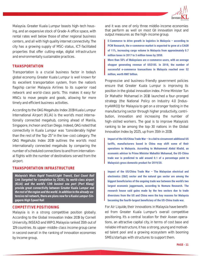

Malaysia. Greater Kuala Lumpur boasts high-tech housing, and an expansive stock of Grade-A office space, with rental rates well below those of other regional business centers, and all with high quality internet connectivity. The city has a growing supply of MSC-status, ICT-facilitated properties that offer cutting-edge, digital infrastructure and environmentally sustainable practices.

#### **TRANSPORTATION**

Transportation is a crucial business factor in today's global economy. Greater Kuala Lumpur is well known for its excellent transportation system, from the nation's flagship carrier Malaysia Airlines to its superior road network and world-class ports. This makes it easy for MNCs to move people and goods, allowing for more timely and efficient business activities.

According to the OAG Megahubs Index 2019 Kuala Lumpur International Airport (KLIA) is the world's most internationally connected megahub, coming ahead of Manila, Singapore, Incheon and San Diego. Indeed, OAG noted that connectivity in Kuala Lumpur was "considerably higher than the rest of the Top-25" in the low-cost category. The OAG Megahubs Index 2019 outlines the world's most internationally connected megahubs by comparing the number of scheduled connections to and from international flights with the number of destinations served from the airport.

#### **TRANSPORTATION INFRASTRUCTURE**

*Malaysia's Mass Rapid Transit/Light Transit, East Coast Rail Link (targeted for completion by 2026), its world-class airport (KLIA) and the world's 12th busiest sea port (Port Klang) provide great connectivity between Greater Kuala Lumpur and the rest of the region and the world. In addition to the already-extensive rail network, there are plans now for a Kuala Lumpur-Singapore High Speed Rail*

#### **COMPETITIVE POSITIONING**

Malaysia is in a strong competitive position globally. According to the Global Innovation Index 2019 by Cornell University, INSEAD and WIPO, Malaysia ranked 35th out of 129 countries. Its upper-middle-class income group came in second overall in the ranking of innovation economies by income group,

and it was one of only three middle-income economies that perform as well on most GII innovation input and output measures as the high-income group.

**E-Commerce to drive growth in logistics in Malaysia – according to PCW Research, the e-commerce market is expected to grow at a CAGR of 11%, increasing cargo volume in Malaysia from approximately 0.7 million tones in 2017 to 3 million tones by 2050.**

**More than 50% of Malaysians are e-commerce users, with an average shopper generating revenue of US\$185. In 2018, the number of successful e-commerce transactions in Malaysia reached over 52 million, worth RM7 billion.**

Progressive and business-friendly government policies ensure that Greater Kuala Lumpur is improving its position in the global innovation index. Prime Minister Tun Dr Mahathir Mohamad in 2018 launched a four-pronged strategy (the National Policy on Industry 4.0 [Industry4WRD]) for Malaysia to get on a stronger footing in the manufacturing sector through higher productivity, contribution, innovation and increasing the number of high-skilled workers. The goal is to improve Malaysia's ranking to be among the top-30 nations in the Global Innovation Index by 2025, up from 35th in 2019.

**Impact of the US/China Trade War – In a bid to circumvent additional US tariffs, manufacturers based in China may shift some of their operations to Malaysia. According to Muhammed Abdul Khalid, an economic advisor to Prime Minister Mahathir Mohamad, the US-China trade war is predicted to add around 0.1 of a percentage point to Malaysia's gross domestic product for 2019/20.**

**Impact of the US/China Trade War – The Malaysian electrical and electronics (E&E) sector and the natural gas sector are among the biggest beneficiaries of the ongoing trade war between the world's two largest economic juggernauts, according to Nomura Research. The research house said gains made by the two sectors due to trade diversions from the US and China were the key reasons for Malaysia becoming the fourth-largest beneficiary of the US-China trade war.**

For Air Liquide, their innovations in Malaysia have benefited from Greater Kuala Lumpur's overall competitive positioning. It's a central location for their Asean operations, an attractive capital city, in terms of cost base and reliable infrastructure, it has a strong, young and motivated talent pool and a growing ecosystem with booming SMEs/startups with structures to support them.